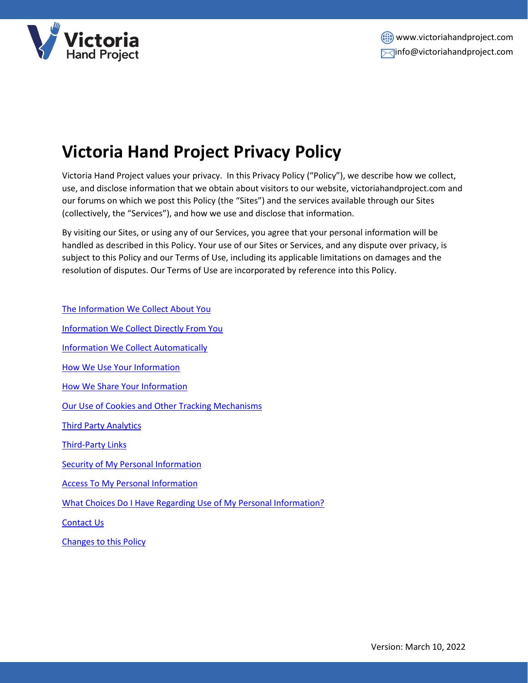

# **Victoria Hand Project Privacy Policy**

Victoria Hand Project values your privacy. In this Privacy Policy ("Policy"), we describe how we collect, use, and disclose information that we obtain about visitors to our website, victoriahandproject.com and our forums on which we post this Policy (the "Sites") and the services available through our Sites (collectively, the "Services"), and how we use and disclose that information.

By visiting our Sites, or using any of our Services, you agree that your personal information will be handled as described in this Policy. Your use of our Sites or Services, and any dispute over privacy, is subject to this Policy and our Terms of Use, including its applicable limitations on damages and the resolution of disputes. Our Terms of Use are incorporated by reference into this Policy.

[The Information We Collect About You](#page-1-0)

[Information We Collect Directly From You](#page-1-1)

[Information We Collect Automatically](#page-1-2)

[How We Use Your Information](#page-1-3)

[How We Share Your Information](#page-2-0)

[Our Use of Cookies and Other Tracking Mechanisms](#page-2-1)

[Third Party Analytics](#page-3-0)

[Third-Party Links](#page-3-1)

[Security of My Personal Information](#page-3-2)

[Access To My Personal Information](#page-3-3)

[What Choices Do I Have Regarding Use of My Personal Information?](#page-4-0)

[Contact Us](#page-4-1)

[Changes to this Policy](#page-4-2)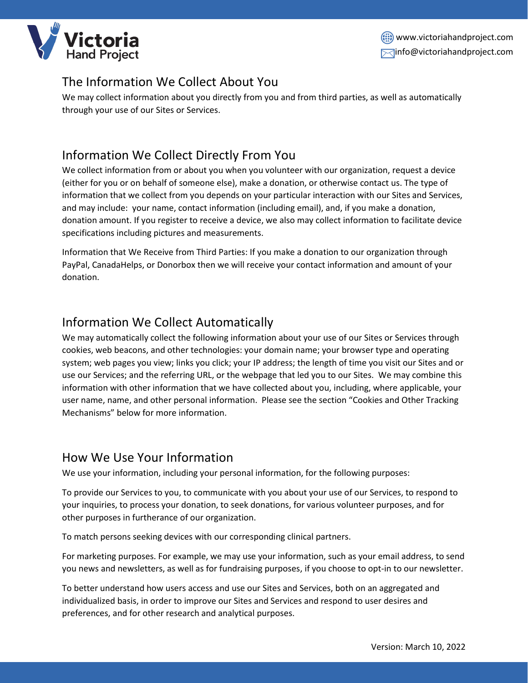

## <span id="page-1-0"></span>The Information We Collect About You

We may collect information about you directly from you and from third parties, as well as automatically through your use of our Sites or Services.

## <span id="page-1-1"></span>Information We Collect Directly From You

We collect information from or about you when you volunteer with our organization, request a device (either for you or on behalf of someone else), make a donation, or otherwise contact us. The type of information that we collect from you depends on your particular interaction with our Sites and Services, and may include: your name, contact information (including email), and, if you make a donation, donation amount. If you register to receive a device, we also may collect information to facilitate device specifications including pictures and measurements.

Information that We Receive from Third Parties: If you make a donation to our organization through PayPal, CanadaHelps, or Donorbox then we will receive your contact information and amount of your donation.

#### <span id="page-1-2"></span>Information We Collect Automatically

We may automatically collect the following information about your use of our Sites or Services through cookies, web beacons, and other technologies: your domain name; your browser type and operating system; web pages you view; links you click; your IP address; the length of time you visit our Sites and or use our Services; and the referring URL, or the webpage that led you to our Sites. We may combine this information with other information that we have collected about you, including, where applicable, your user name, name, and other personal information. Please see the section "Cookies and Other Tracking Mechanisms" below for more information.

#### <span id="page-1-3"></span>How We Use Your Information

We use your information, including your personal information, for the following purposes:

To provide our Services to you, to communicate with you about your use of our Services, to respond to your inquiries, to process your donation, to seek donations, for various volunteer purposes, and for other purposes in furtherance of our organization.

To match persons seeking devices with our corresponding clinical partners.

For marketing purposes. For example, we may use your information, such as your email address, to send you news and newsletters, as well as for fundraising purposes, if you choose to opt-in to our newsletter.

To better understand how users access and use our Sites and Services, both on an aggregated and individualized basis, in order to improve our Sites and Services and respond to user desires and preferences, and for other research and analytical purposes.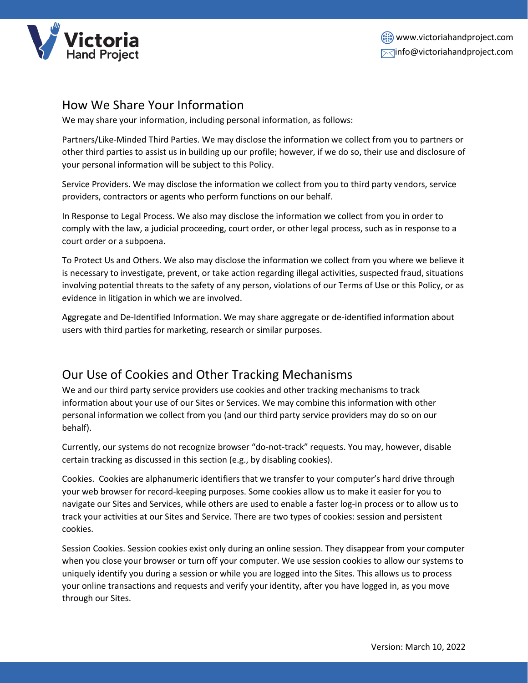

#### <span id="page-2-0"></span>How We Share Your Information

We may share your information, including personal information, as follows:

Partners/Like-Minded Third Parties. We may disclose the information we collect from you to partners or other third parties to assist us in building up our profile; however, if we do so, their use and disclosure of your personal information will be subject to this Policy.

Service Providers. We may disclose the information we collect from you to third party vendors, service providers, contractors or agents who perform functions on our behalf.

In Response to Legal Process. We also may disclose the information we collect from you in order to comply with the law, a judicial proceeding, court order, or other legal process, such as in response to a court order or a subpoena.

To Protect Us and Others. We also may disclose the information we collect from you where we believe it is necessary to investigate, prevent, or take action regarding illegal activities, suspected fraud, situations involving potential threats to the safety of any person, violations of our Terms of Use or this Policy, or as evidence in litigation in which we are involved.

Aggregate and De-Identified Information. We may share aggregate or de-identified information about users with third parties for marketing, research or similar purposes.

#### <span id="page-2-1"></span>Our Use of Cookies and Other Tracking Mechanisms

We and our third party service providers use cookies and other tracking mechanisms to track information about your use of our Sites or Services. We may combine this information with other personal information we collect from you (and our third party service providers may do so on our behalf).

Currently, our systems do not recognize browser "do-not-track" requests. You may, however, disable certain tracking as discussed in this section (e.g., by disabling cookies).

Cookies. Cookies are alphanumeric identifiers that we transfer to your computer's hard drive through your web browser for record-keeping purposes. Some cookies allow us to make it easier for you to navigate our Sites and Services, while others are used to enable a faster log-in process or to allow us to track your activities at our Sites and Service. There are two types of cookies: session and persistent cookies.

Session Cookies. Session cookies exist only during an online session. They disappear from your computer when you close your browser or turn off your computer. We use session cookies to allow our systems to uniquely identify you during a session or while you are logged into the Sites. This allows us to process your online transactions and requests and verify your identity, after you have logged in, as you move through our Sites.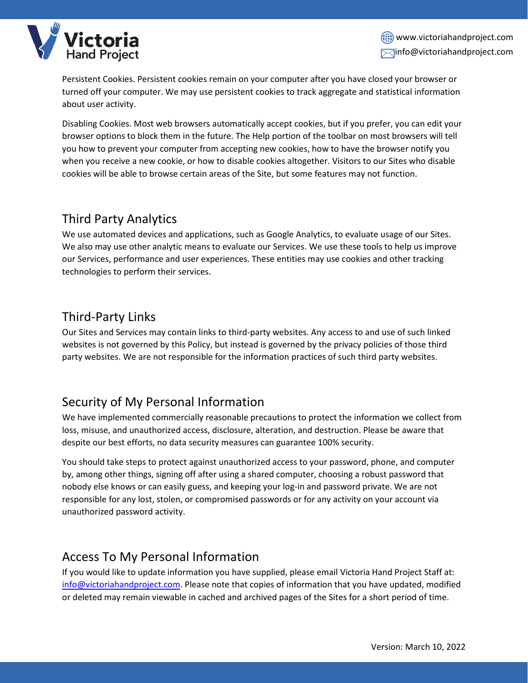

Persistent Cookies. Persistent cookies remain on your computer after you have closed your browser or turned off your computer. We may use persistent cookies to track aggregate and statistical information about user activity.

Disabling Cookies. Most web browsers automatically accept cookies, but if you prefer, you can edit your browser options to block them in the future. The Help portion of the toolbar on most browsers will tell you how to prevent your computer from accepting new cookies, how to have the browser notify you when you receive a new cookie, or how to disable cookies altogether. Visitors to our Sites who disable cookies will be able to browse certain areas of the Site, but some features may not function.

# <span id="page-3-0"></span>Third Party Analytics

<span id="page-3-1"></span>We use automated devices and applications, such as Google Analytics, to evaluate usage of our Sites. We also may use other analytic means to evaluate our Services. We use these tools to help us improve our Services, performance and user experiences. These entities may use cookies and other tracking technologies to perform their services.

## Third-Party Links

Our Sites and Services may contain links to third-party websites. Any access to and use of such linked websites is not governed by this Policy, but instead is governed by the privacy policies of those third party websites. We are not responsible for the information practices of such third party websites.

# <span id="page-3-2"></span>Security of My Personal Information

We have implemented commercially reasonable precautions to protect the information we collect from loss, misuse, and unauthorized access, disclosure, alteration, and destruction. Please be aware that despite our best efforts, no data security measures can guarantee 100% security.

You should take steps to protect against unauthorized access to your password, phone, and computer by, among other things, signing off after using a shared computer, choosing a robust password that nobody else knows or can easily guess, and keeping your log-in and password private. We are not responsible for any lost, stolen, or compromised passwords or for any activity on your account via unauthorized password activity.

#### <span id="page-3-3"></span>Access To My Personal Information

If you would like to update information you have supplied, please email Victoria Hand Project Staff at: [info@victoriahandproject.com.](info@victoriahandproject.com) Please note that copies of information that you have updated, modified or deleted may remain viewable in cached and archived pages of the Sites for a short period of time.